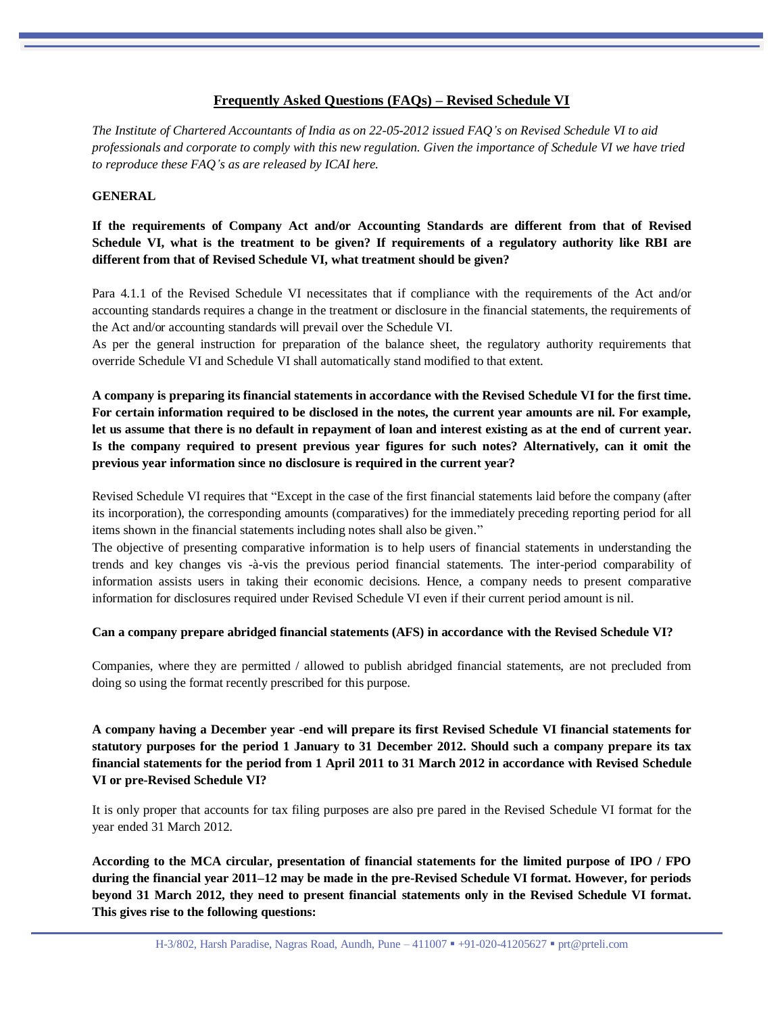# **Frequently Asked Questions (FAQs) – Revised Schedule VI**

*The Institute of Chartered Accountants of India as on 22-05-2012 issued FAQ's on Revised Schedule VI to aid professionals and corporate to comply with this new regulation. Given the importance of Schedule VI we have tried to reproduce these FAQ's as are released by ICAI here.*

### **GENERAL**

**If the requirements of Company Act and/or Accounting Standards are different from that of Revised Schedule VI, what is the treatment to be given? If requirements of a regulatory authority like RBI are different from that of Revised Schedule VI, what treatment should be given?**

Para 4.1.1 of the Revised Schedule VI necessitates that if compliance with the requirements of the Act and/or accounting standards requires a change in the treatment or disclosure in the financial statements, the requirements of the Act and/or accounting standards will prevail over the Schedule VI.

As per the general instruction for preparation of the balance sheet, the regulatory authority requirements that override Schedule VI and Schedule VI shall automatically stand modified to that extent.

**A company is preparing its financial statements in accordance with the Revised Schedule VI for the first time. For certain information required to be disclosed in the notes, the current year amounts are nil. For example, let us assume that there is no default in repayment of loan and interest existing as at the end of current year. Is the company required to present previous year figures for such notes? Alternatively, can it omit the previous year information since no disclosure is required in the current year?**

Revised Schedule VI requires that "Except in the case of the first financial statements laid before the company (after its incorporation), the corresponding amounts (comparatives) for the immediately preceding reporting period for all items shown in the financial statements including notes shall also be given."

The objective of presenting comparative information is to help users of financial statements in understanding the trends and key changes vis -à-vis the previous period financial statements. The inter-period comparability of information assists users in taking their economic decisions. Hence, a company needs to present comparative information for disclosures required under Revised Schedule VI even if their current period amount is nil.

### **Can a company prepare abridged financial statements (AFS) in accordance with the Revised Schedule VI?**

Companies, where they are permitted / allowed to publish abridged financial statements, are not precluded from doing so using the format recently prescribed for this purpose.

**A company having a December year -end will prepare its first Revised Schedule VI financial statements for statutory purposes for the period 1 January to 31 December 2012. Should such a company prepare its tax financial statements for the period from 1 April 2011 to 31 March 2012 in accordance with Revised Schedule VI or pre-Revised Schedule VI?**

It is only proper that accounts for tax filing purposes are also pre pared in the Revised Schedule VI format for the year ended 31 March 2012.

**According to the MCA circular, presentation of financial statements for the limited purpose of IPO / FPO during the financial year 2011–12 may be made in the pre-Revised Schedule VI format. However, for periods beyond 31 March 2012, they need to present financial statements only in the Revised Schedule VI format. This gives rise to the following questions:**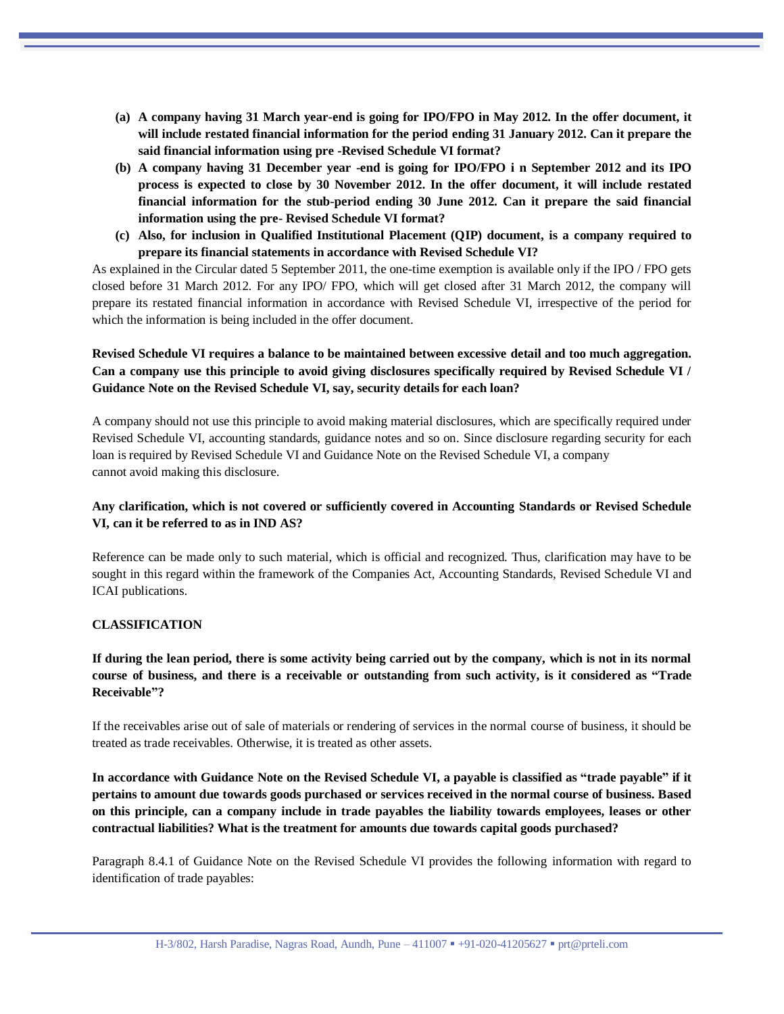- **(a) A company having 31 March year-end is going for IPO/FPO in May 2012. In the offer document, it will include restated financial information for the period ending 31 January 2012. Can it prepare the said financial information using pre -Revised Schedule VI format?**
- **(b) A company having 31 December year -end is going for IPO/FPO i n September 2012 and its IPO process is expected to close by 30 November 2012. In the offer document, it will include restated financial information for the stub-period ending 30 June 2012. Can it prepare the said financial information using the pre- Revised Schedule VI format?**
- **(c) Also, for inclusion in Qualified Institutional Placement (QIP) document, is a company required to prepare its financial statements in accordance with Revised Schedule VI?**

As explained in the Circular dated 5 September 2011, the one-time exemption is available only if the IPO / FPO gets closed before 31 March 2012. For any IPO/ FPO, which will get closed after 31 March 2012, the company will prepare its restated financial information in accordance with Revised Schedule VI, irrespective of the period for which the information is being included in the offer document.

# **Revised Schedule VI requires a balance to be maintained between excessive detail and too much aggregation. Can a company use this principle to avoid giving disclosures specifically required by Revised Schedule VI / Guidance Note on the Revised Schedule VI, say, security details for each loan?**

A company should not use this principle to avoid making material disclosures, which are specifically required under Revised Schedule VI, accounting standards, guidance notes and so on. Since disclosure regarding security for each loan is required by Revised Schedule VI and Guidance Note on the Revised Schedule VI, a company cannot avoid making this disclosure.

# **Any clarification, which is not covered or sufficiently covered in Accounting Standards or Revised Schedule VI, can it be referred to as in IND AS?**

Reference can be made only to such material, which is official and recognized. Thus, clarification may have to be sought in this regard within the framework of the Companies Act, Accounting Standards, Revised Schedule VI and ICAI publications.

# **CLASSIFICATION**

# **If during the lean period, there is some activity being carried out by the company, which is not in its normal course of business, and there is a receivable or outstanding from such activity, is it considered as "Trade Receivable"?**

If the receivables arise out of sale of materials or rendering of services in the normal course of business, it should be treated as trade receivables. Otherwise, it is treated as other assets.

**In accordance with Guidance Note on the Revised Schedule VI, a payable is classified as "trade payable" if it pertains to amount due towards goods purchased or services received in the normal course of business. Based on this principle, can a company include in trade payables the liability towards employees, leases or other contractual liabilities? What is the treatment for amounts due towards capital goods purchased?**

Paragraph 8.4.1 of Guidance Note on the Revised Schedule VI provides the following information with regard to identification of trade payables: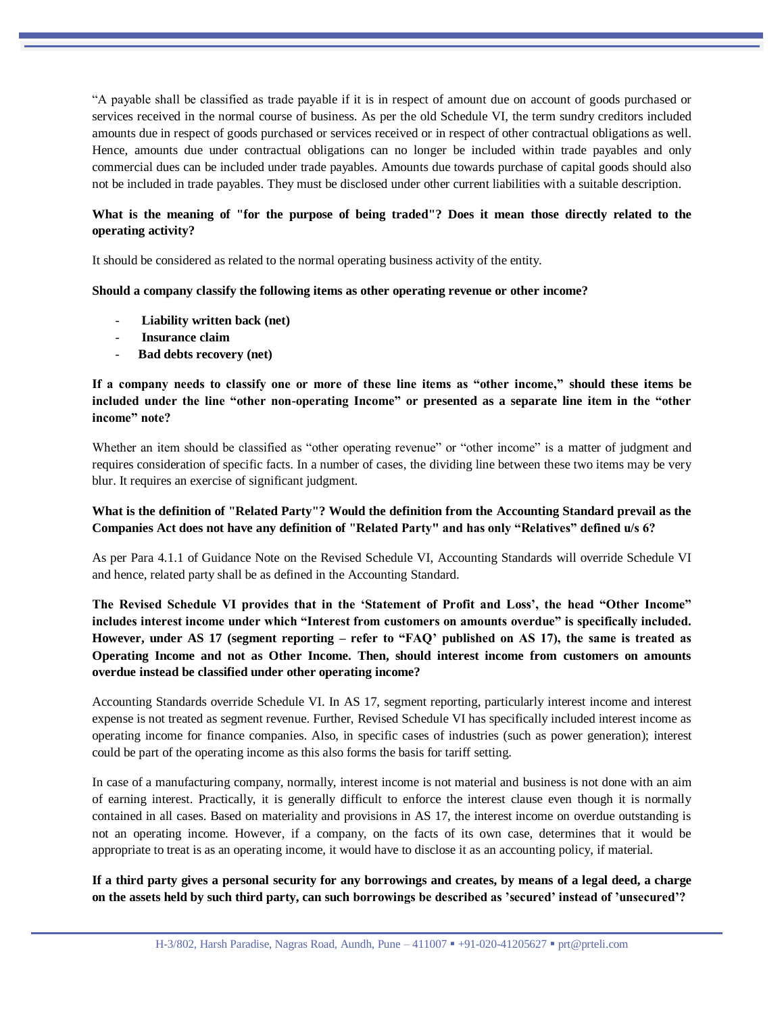"A payable shall be classified as trade payable if it is in respect of amount due on account of goods purchased or services received in the normal course of business. As per the old Schedule VI, the term sundry creditors included amounts due in respect of goods purchased or services received or in respect of other contractual obligations as well. Hence, amounts due under contractual obligations can no longer be included within trade payables and only commercial dues can be included under trade payables. Amounts due towards purchase of capital goods should also not be included in trade payables. They must be disclosed under other current liabilities with a suitable description.

# **What is the meaning of "for the purpose of being traded"? Does it mean those directly related to the operating activity?**

It should be considered as related to the normal operating business activity of the entity.

### **Should a company classify the following items as other operating revenue or other income?**

- Liability written back (net)
- **Insurance claim**
- **Bad debts recovery (net)**

**If a company needs to classify one or more of these line items as "other income," should these items be included under the line "other non-operating Income" or presented as a separate line item in the "other income" note?** 

Whether an item should be classified as "other operating revenue" or "other income" is a matter of judgment and requires consideration of specific facts. In a number of cases, the dividing line between these two items may be very blur. It requires an exercise of significant judgment.

## **What is the definition of "Related Party"? Would the definition from the Accounting Standard prevail as the Companies Act does not have any definition of "Related Party" and has only "Relatives" defined u/s 6?**

As per Para 4.1.1 of Guidance Note on the Revised Schedule VI, Accounting Standards will override Schedule VI and hence, related party shall be as defined in the Accounting Standard.

# **The Revised Schedule VI provides that in the 'Statement of Profit and Loss', the head "Other Income" includes interest income under which "Interest from customers on amounts overdue" is specifically included. However, under AS 17 (segment reporting – refer to "FAQ' published on AS 17), the same is treated as Operating Income and not as Other Income. Then, should interest income from customers on amounts overdue instead be classified under other operating income?**

Accounting Standards override Schedule VI. In AS 17, segment reporting, particularly interest income and interest expense is not treated as segment revenue. Further, Revised Schedule VI has specifically included interest income as operating income for finance companies. Also, in specific cases of industries (such as power generation); interest could be part of the operating income as this also forms the basis for tariff setting.

In case of a manufacturing company, normally, interest income is not material and business is not done with an aim of earning interest. Practically, it is generally difficult to enforce the interest clause even though it is normally contained in all cases. Based on materiality and provisions in AS 17, the interest income on overdue outstanding is not an operating income. However, if a company, on the facts of its own case, determines that it would be appropriate to treat is as an operating income, it would have to disclose it as an accounting policy, if material.

**If a third party gives a personal security for any borrowings and creates, by means of a legal deed, a charge on the assets held by such third party, can such borrowings be described as 'secured' instead of 'unsecured'?**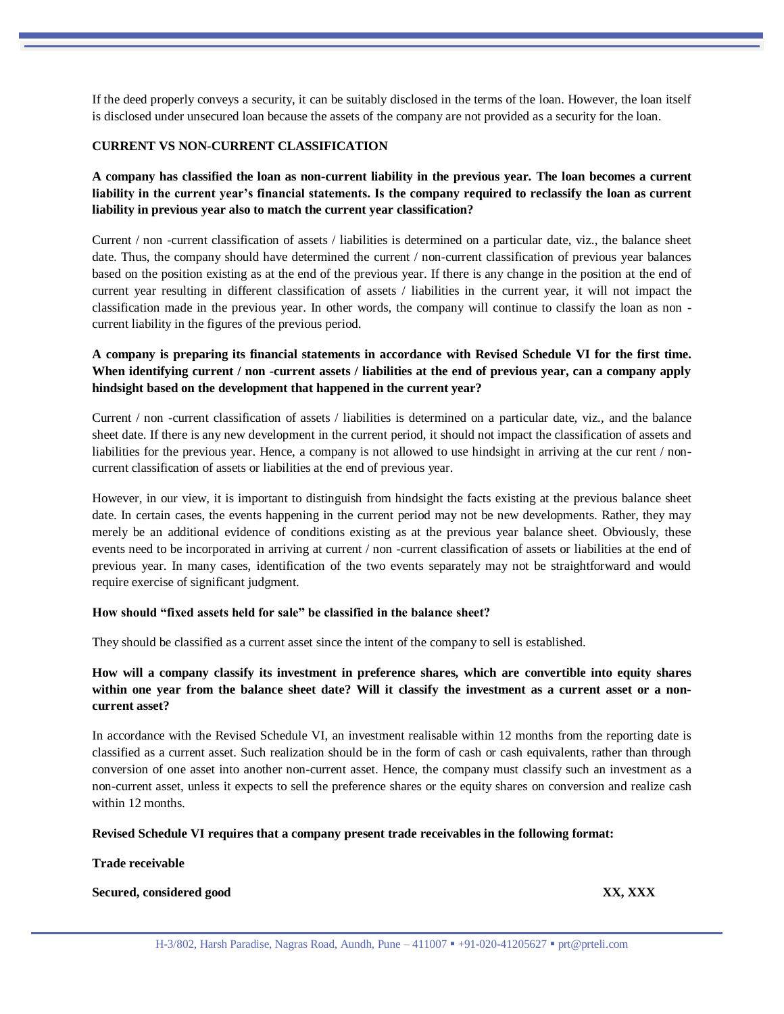If the deed properly conveys a security, it can be suitably disclosed in the terms of the loan. However, the loan itself is disclosed under unsecured loan because the assets of the company are not provided as a security for the loan.

### **CURRENT VS NON-CURRENT CLASSIFICATION**

**A company has classified the loan as non-current liability in the previous year. The loan becomes a current liability in the current year's financial statements. Is the company required to reclassify the loan as current liability in previous year also to match the current year classification?** 

Current / non -current classification of assets / liabilities is determined on a particular date, viz., the balance sheet date. Thus, the company should have determined the current / non-current classification of previous year balances based on the position existing as at the end of the previous year. If there is any change in the position at the end of current year resulting in different classification of assets / liabilities in the current year, it will not impact the classification made in the previous year. In other words, the company will continue to classify the loan as non current liability in the figures of the previous period.

# **A company is preparing its financial statements in accordance with Revised Schedule VI for the first time.**  When identifying current / non -current assets / liabilities at the end of previous year, can a company apply **hindsight based on the development that happened in the current year?**

Current / non -current classification of assets / liabilities is determined on a particular date, viz., and the balance sheet date. If there is any new development in the current period, it should not impact the classification of assets and liabilities for the previous year. Hence, a company is not allowed to use hindsight in arriving at the cur rent / noncurrent classification of assets or liabilities at the end of previous year.

However, in our view, it is important to distinguish from hindsight the facts existing at the previous balance sheet date. In certain cases, the events happening in the current period may not be new developments. Rather, they may merely be an additional evidence of conditions existing as at the previous year balance sheet. Obviously, these events need to be incorporated in arriving at current / non -current classification of assets or liabilities at the end of previous year. In many cases, identification of the two events separately may not be straightforward and would require exercise of significant judgment.

### **How should "fixed assets held for sale" be classified in the balance sheet?**

They should be classified as a current asset since the intent of the company to sell is established.

# **How will a company classify its investment in preference shares, which are convertible into equity shares within one year from the balance sheet date? Will it classify the investment as a current asset or a noncurrent asset?**

In accordance with the Revised Schedule VI, an investment realisable within 12 months from the reporting date is classified as a current asset. Such realization should be in the form of cash or cash equivalents, rather than through conversion of one asset into another non-current asset. Hence, the company must classify such an investment as a non-current asset, unless it expects to sell the preference shares or the equity shares on conversion and realize cash within 12 months.

#### **Revised Schedule VI requires that a company present trade receivables in the following format:**

#### **Trade receivable**

#### **Secured, considered good XX, XXX**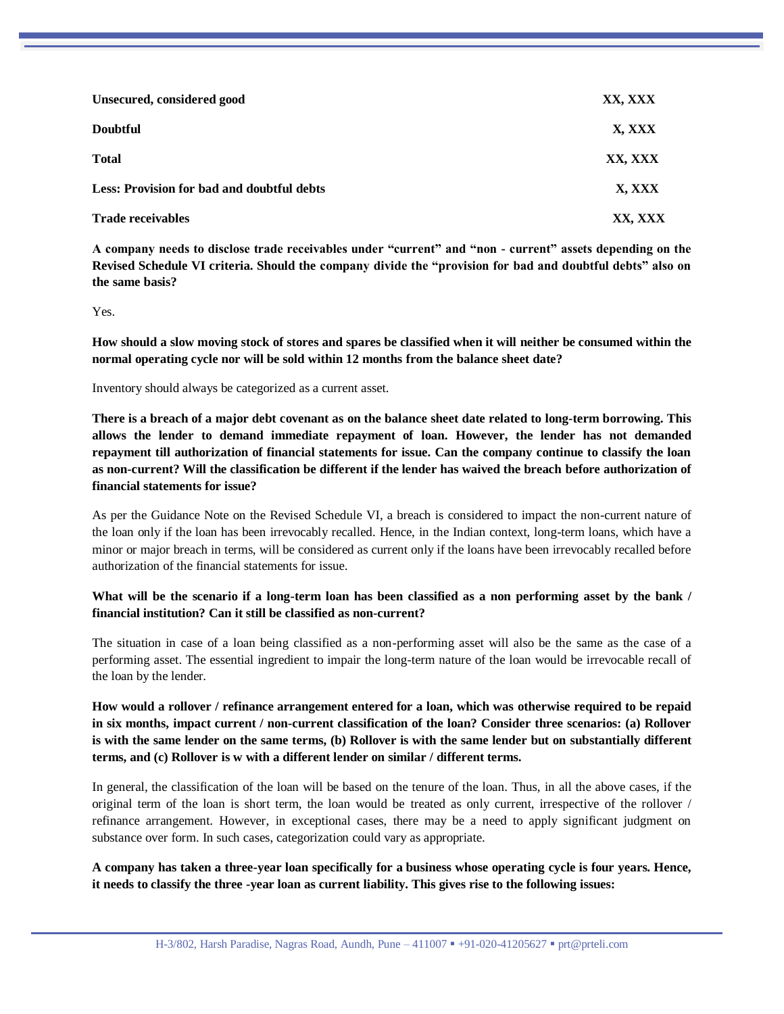| Unsecured, considered good                 | XX, XXX |
|--------------------------------------------|---------|
| <b>Doubtful</b>                            | X, XXX  |
| <b>Total</b>                               | XX, XXX |
| Less: Provision for bad and doubtful debts | X, XXX  |
| <b>Trade receivables</b>                   | XX, XXX |

**A company needs to disclose trade receivables under "current" and "non - current" assets depending on the Revised Schedule VI criteria. Should the company divide the "provision for bad and doubtful debts" also on the same basis?** 

#### Yes.

**How should a slow moving stock of stores and spares be classified when it will neither be consumed within the normal operating cycle nor will be sold within 12 months from the balance sheet date?** 

Inventory should always be categorized as a current asset.

**There is a breach of a major debt covenant as on the balance sheet date related to long-term borrowing. This allows the lender to demand immediate repayment of loan. However, the lender has not demanded repayment till authorization of financial statements for issue. Can the company continue to classify the loan as non-current? Will the classification be different if the lender has waived the breach before authorization of financial statements for issue?** 

As per the Guidance Note on the Revised Schedule VI, a breach is considered to impact the non-current nature of the loan only if the loan has been irrevocably recalled. Hence, in the Indian context, long-term loans, which have a minor or major breach in terms, will be considered as current only if the loans have been irrevocably recalled before authorization of the financial statements for issue.

# **What will be the scenario if a long-term loan has been classified as a non performing asset by the bank / financial institution? Can it still be classified as non-current?**

The situation in case of a loan being classified as a non-performing asset will also be the same as the case of a performing asset. The essential ingredient to impair the long-term nature of the loan would be irrevocable recall of the loan by the lender.

# **How would a rollover / refinance arrangement entered for a loan, which was otherwise required to be repaid in six months, impact current / non-current classification of the loan? Consider three scenarios: (a) Rollover is with the same lender on the same terms, (b) Rollover is with the same lender but on substantially different terms, and (c) Rollover is w with a different lender on similar / different terms.**

In general, the classification of the loan will be based on the tenure of the loan. Thus, in all the above cases, if the original term of the loan is short term, the loan would be treated as only current, irrespective of the rollover / refinance arrangement. However, in exceptional cases, there may be a need to apply significant judgment on substance over form. In such cases, categorization could vary as appropriate.

**A company has taken a three-year loan specifically for a business whose operating cycle is four years. Hence, it needs to classify the three -year loan as current liability. This gives rise to the following issues:**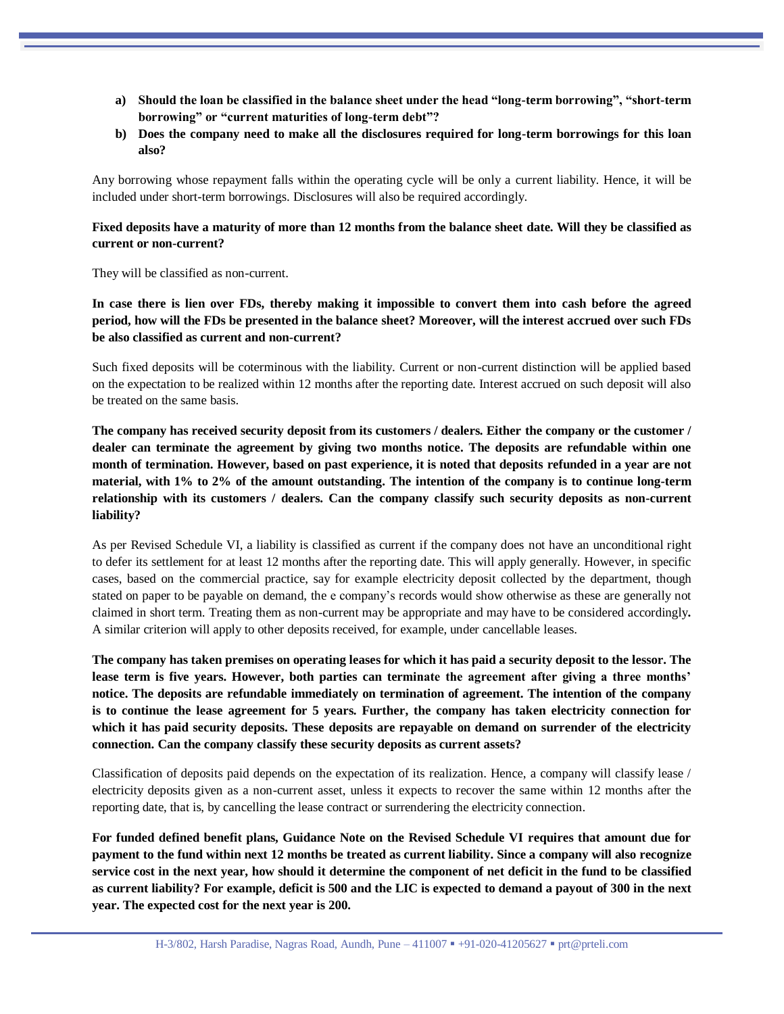- **a) Should the loan be classified in the balance sheet under the head "long-term borrowing", "short-term borrowing" or "current maturities of long-term debt"?**
- **b) Does the company need to make all the disclosures required for long-term borrowings for this loan also?**

Any borrowing whose repayment falls within the operating cycle will be only a current liability. Hence, it will be included under short-term borrowings. Disclosures will also be required accordingly.

## **Fixed deposits have a maturity of more than 12 months from the balance sheet date. Will they be classified as current or non-current?**

They will be classified as non-current.

**In case there is lien over FDs, thereby making it impossible to convert them into cash before the agreed period, how will the FDs be presented in the balance sheet? Moreover, will the interest accrued over such FDs be also classified as current and non-current?** 

Such fixed deposits will be coterminous with the liability. Current or non-current distinction will be applied based on the expectation to be realized within 12 months after the reporting date. Interest accrued on such deposit will also be treated on the same basis.

**The company has received security deposit from its customers / dealers. Either the company or the customer / dealer can terminate the agreement by giving two months notice. The deposits are refundable within one month of termination. However, based on past experience, it is noted that deposits refunded in a year are not material, with 1% to 2% of the amount outstanding. The intention of the company is to continue long-term relationship with its customers / dealers. Can the company classify such security deposits as non-current liability?** 

As per Revised Schedule VI, a liability is classified as current if the company does not have an unconditional right to defer its settlement for at least 12 months after the reporting date. This will apply generally. However, in specific cases, based on the commercial practice, say for example electricity deposit collected by the department, though stated on paper to be payable on demand, the e company's records would show otherwise as these are generally not claimed in short term. Treating them as non-current may be appropriate and may have to be considered accordingly**.**  A similar criterion will apply to other deposits received, for example, under cancellable leases.

**The company has taken premises on operating leases for which it has paid a security deposit to the lessor. The lease term is five years. However, both parties can terminate the agreement after giving a three months' notice. The deposits are refundable immediately on termination of agreement. The intention of the company is to continue the lease agreement for 5 years. Further, the company has taken electricity connection for which it has paid security deposits. These deposits are repayable on demand on surrender of the electricity connection. Can the company classify these security deposits as current assets?** 

Classification of deposits paid depends on the expectation of its realization. Hence, a company will classify lease / electricity deposits given as a non-current asset, unless it expects to recover the same within 12 months after the reporting date, that is, by cancelling the lease contract or surrendering the electricity connection.

**For funded defined benefit plans, Guidance Note on the Revised Schedule VI requires that amount due for payment to the fund within next 12 months be treated as current liability. Since a company will also recognize service cost in the next year, how should it determine the component of net deficit in the fund to be classified as current liability? For example, deficit is 500 and the LIC is expected to demand a payout of 300 in the next year. The expected cost for the next year is 200.**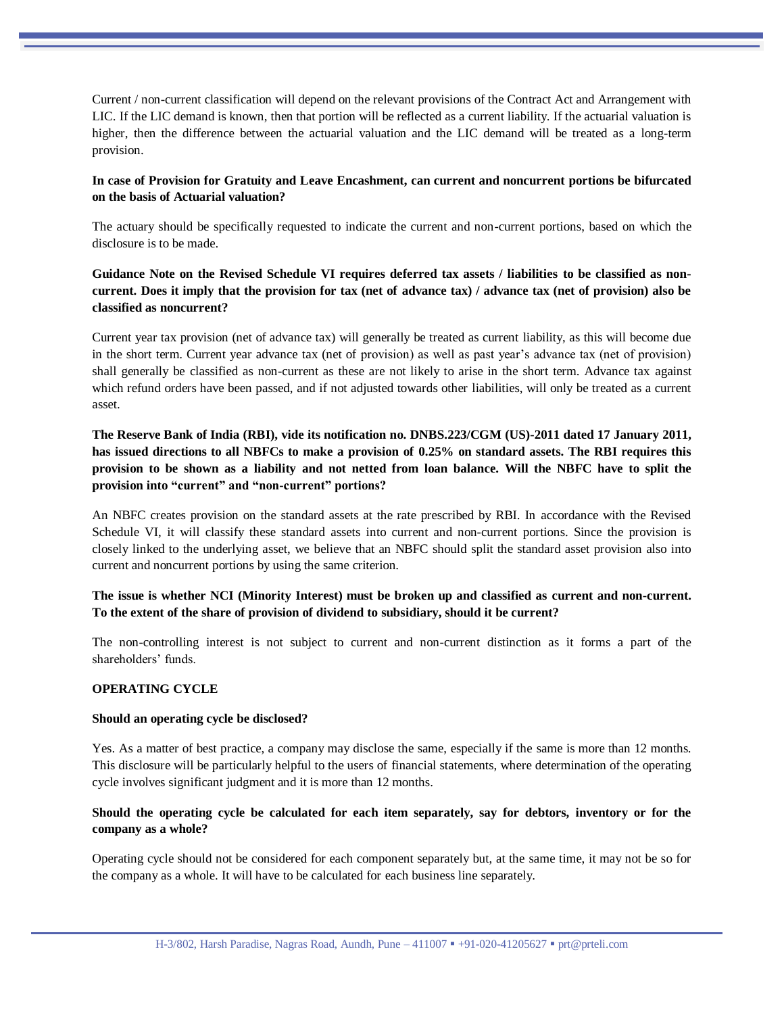Current / non-current classification will depend on the relevant provisions of the Contract Act and Arrangement with LIC. If the LIC demand is known, then that portion will be reflected as a current liability. If the actuarial valuation is higher, then the difference between the actuarial valuation and the LIC demand will be treated as a long-term provision.

# **In case of Provision for Gratuity and Leave Encashment, can current and noncurrent portions be bifurcated on the basis of Actuarial valuation?**

The actuary should be specifically requested to indicate the current and non-current portions, based on which the disclosure is to be made.

# **Guidance Note on the Revised Schedule VI requires deferred tax assets / liabilities to be classified as noncurrent. Does it imply that the provision for tax (net of advance tax) / advance tax (net of provision) also be classified as noncurrent?**

Current year tax provision (net of advance tax) will generally be treated as current liability, as this will become due in the short term. Current year advance tax (net of provision) as well as past year's advance tax (net of provision) shall generally be classified as non-current as these are not likely to arise in the short term. Advance tax against which refund orders have been passed, and if not adjusted towards other liabilities, will only be treated as a current asset.

# **The Reserve Bank of India (RBI), vide its notification no. DNBS.223/CGM (US)-2011 dated 17 January 2011, has issued directions to all NBFCs to make a provision of 0.25% on standard assets. The RBI requires this provision to be shown as a liability and not netted from loan balance. Will the NBFC have to split the provision into "current" and "non-current" portions?**

An NBFC creates provision on the standard assets at the rate prescribed by RBI. In accordance with the Revised Schedule VI, it will classify these standard assets into current and non-current portions. Since the provision is closely linked to the underlying asset, we believe that an NBFC should split the standard asset provision also into current and noncurrent portions by using the same criterion.

## **The issue is whether NCI (Minority Interest) must be broken up and classified as current and non-current. To the extent of the share of provision of dividend to subsidiary, should it be current?**

The non-controlling interest is not subject to current and non-current distinction as it forms a part of the shareholders' funds.

### **OPERATING CYCLE**

### **Should an operating cycle be disclosed?**

Yes. As a matter of best practice, a company may disclose the same, especially if the same is more than 12 months. This disclosure will be particularly helpful to the users of financial statements, where determination of the operating cycle involves significant judgment and it is more than 12 months.

# **Should the operating cycle be calculated for each item separately, say for debtors, inventory or for the company as a whole?**

Operating cycle should not be considered for each component separately but, at the same time, it may not be so for the company as a whole. It will have to be calculated for each business line separately.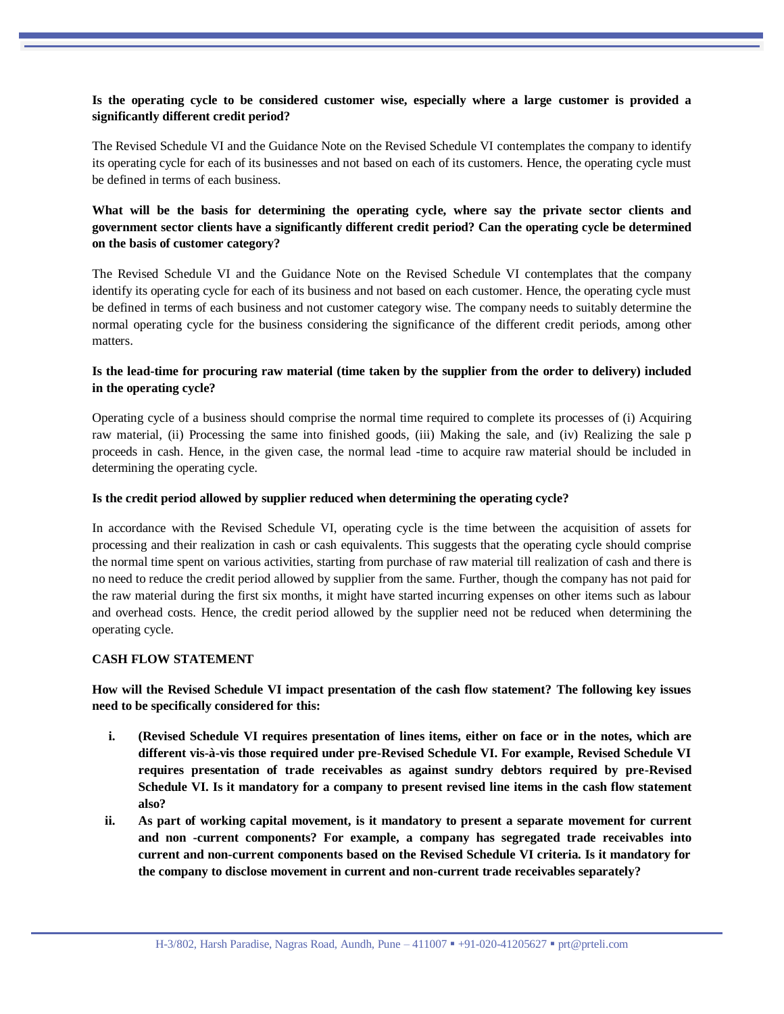## **Is the operating cycle to be considered customer wise, especially where a large customer is provided a significantly different credit period?**

The Revised Schedule VI and the Guidance Note on the Revised Schedule VI contemplates the company to identify its operating cycle for each of its businesses and not based on each of its customers. Hence, the operating cycle must be defined in terms of each business.

# **What will be the basis for determining the operating cycle, where say the private sector clients and government sector clients have a significantly different credit period? Can the operating cycle be determined on the basis of customer category?**

The Revised Schedule VI and the Guidance Note on the Revised Schedule VI contemplates that the company identify its operating cycle for each of its business and not based on each customer. Hence, the operating cycle must be defined in terms of each business and not customer category wise. The company needs to suitably determine the normal operating cycle for the business considering the significance of the different credit periods, among other matters.

# **Is the lead-time for procuring raw material (time taken by the supplier from the order to delivery) included in the operating cycle?**

Operating cycle of a business should comprise the normal time required to complete its processes of (i) Acquiring raw material, (ii) Processing the same into finished goods, (iii) Making the sale, and (iv) Realizing the sale p proceeds in cash. Hence, in the given case, the normal lead -time to acquire raw material should be included in determining the operating cycle.

### **Is the credit period allowed by supplier reduced when determining the operating cycle?**

In accordance with the Revised Schedule VI, operating cycle is the time between the acquisition of assets for processing and their realization in cash or cash equivalents. This suggests that the operating cycle should comprise the normal time spent on various activities, starting from purchase of raw material till realization of cash and there is no need to reduce the credit period allowed by supplier from the same. Further, though the company has not paid for the raw material during the first six months, it might have started incurring expenses on other items such as labour and overhead costs. Hence, the credit period allowed by the supplier need not be reduced when determining the operating cycle.

### **CASH FLOW STATEMENT**

**How will the Revised Schedule VI impact presentation of the cash flow statement? The following key issues need to be specifically considered for this:** 

- **i. (Revised Schedule VI requires presentation of lines items, either on face or in the notes, which are different vis-à-vis those required under pre-Revised Schedule VI. For example, Revised Schedule VI requires presentation of trade receivables as against sundry debtors required by pre-Revised Schedule VI. Is it mandatory for a company to present revised line items in the cash flow statement also?**
- **ii. As part of working capital movement, is it mandatory to present a separate movement for current and non -current components? For example, a company has segregated trade receivables into current and non-current components based on the Revised Schedule VI criteria. Is it mandatory for the company to disclose movement in current and non-current trade receivables separately?**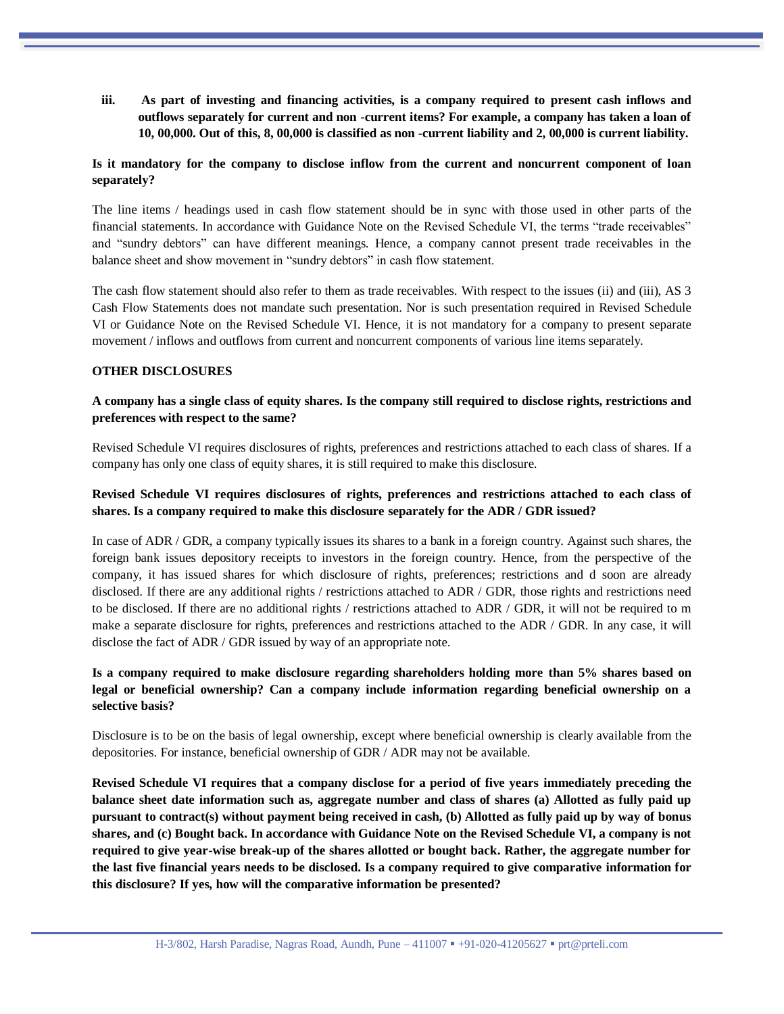**iii. As part of investing and financing activities, is a company required to present cash inflows and outflows separately for current and non -current items? For example, a company has taken a loan of 10, 00,000. Out of this, 8, 00,000 is classified as non -current liability and 2, 00,000 is current liability.** 

## **Is it mandatory for the company to disclose inflow from the current and noncurrent component of loan separately?**

The line items / headings used in cash flow statement should be in sync with those used in other parts of the financial statements. In accordance with Guidance Note on the Revised Schedule VI, the terms "trade receivables" and "sundry debtors" can have different meanings. Hence, a company cannot present trade receivables in the balance sheet and show movement in "sundry debtors" in cash flow statement.

The cash flow statement should also refer to them as trade receivables. With respect to the issues (ii) and (iii), AS 3 Cash Flow Statements does not mandate such presentation. Nor is such presentation required in Revised Schedule VI or Guidance Note on the Revised Schedule VI. Hence, it is not mandatory for a company to present separate movement / inflows and outflows from current and noncurrent components of various line items separately.

### **OTHER DISCLOSURES**

# **A company has a single class of equity shares. Is the company still required to disclose rights, restrictions and preferences with respect to the same?**

Revised Schedule VI requires disclosures of rights, preferences and restrictions attached to each class of shares. If a company has only one class of equity shares, it is still required to make this disclosure.

# **Revised Schedule VI requires disclosures of rights, preferences and restrictions attached to each class of shares. Is a company required to make this disclosure separately for the ADR / GDR issued?**

In case of ADR / GDR, a company typically issues its shares to a bank in a foreign country. Against such shares, the foreign bank issues depository receipts to investors in the foreign country. Hence, from the perspective of the company, it has issued shares for which disclosure of rights, preferences; restrictions and d soon are already disclosed. If there are any additional rights / restrictions attached to ADR / GDR, those rights and restrictions need to be disclosed. If there are no additional rights / restrictions attached to ADR / GDR, it will not be required to m make a separate disclosure for rights, preferences and restrictions attached to the ADR / GDR. In any case, it will disclose the fact of ADR / GDR issued by way of an appropriate note.

# **Is a company required to make disclosure regarding shareholders holding more than 5% shares based on legal or beneficial ownership? Can a company include information regarding beneficial ownership on a selective basis?**

Disclosure is to be on the basis of legal ownership, except where beneficial ownership is clearly available from the depositories. For instance, beneficial ownership of GDR / ADR may not be available.

**Revised Schedule VI requires that a company disclose for a period of five years immediately preceding the balance sheet date information such as, aggregate number and class of shares (a) Allotted as fully paid up pursuant to contract(s) without payment being received in cash, (b) Allotted as fully paid up by way of bonus shares, and (c) Bought back. In accordance with Guidance Note on the Revised Schedule VI, a company is not required to give year-wise break-up of the shares allotted or bought back. Rather, the aggregate number for the last five financial years needs to be disclosed. Is a company required to give comparative information for this disclosure? If yes, how will the comparative information be presented?**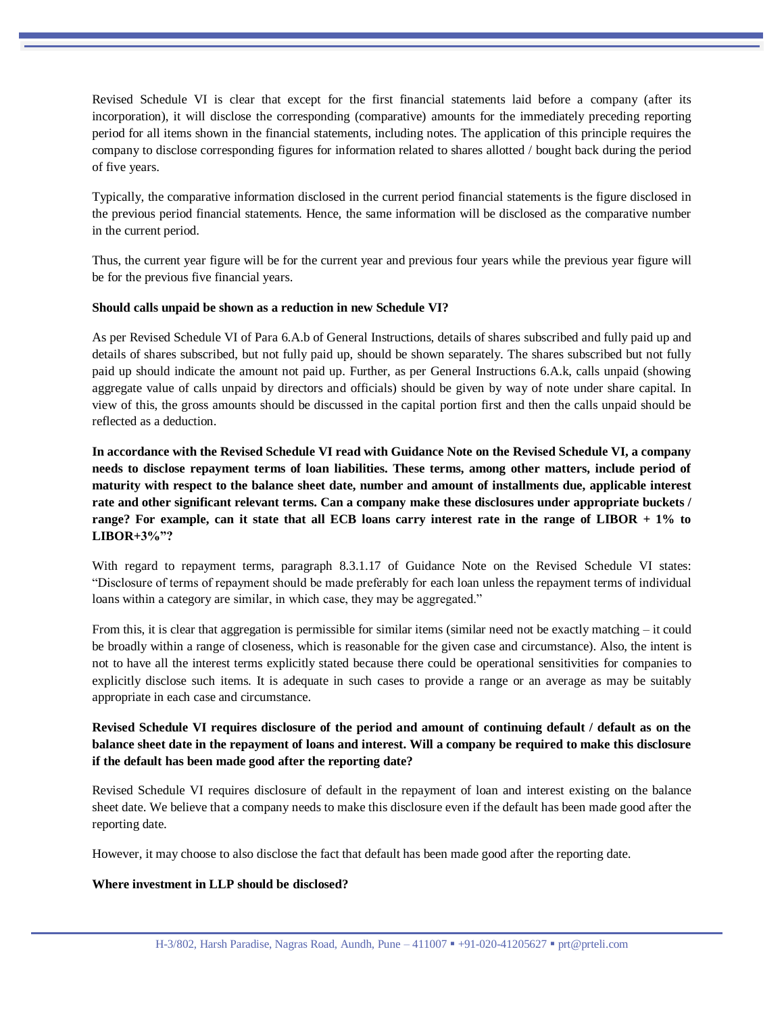Revised Schedule VI is clear that except for the first financial statements laid before a company (after its incorporation), it will disclose the corresponding (comparative) amounts for the immediately preceding reporting period for all items shown in the financial statements, including notes. The application of this principle requires the company to disclose corresponding figures for information related to shares allotted / bought back during the period of five years.

Typically, the comparative information disclosed in the current period financial statements is the figure disclosed in the previous period financial statements. Hence, the same information will be disclosed as the comparative number in the current period.

Thus, the current year figure will be for the current year and previous four years while the previous year figure will be for the previous five financial years.

### **Should calls unpaid be shown as a reduction in new Schedule VI?**

As per Revised Schedule VI of Para 6.A.b of General Instructions, details of shares subscribed and fully paid up and details of shares subscribed, but not fully paid up, should be shown separately. The shares subscribed but not fully paid up should indicate the amount not paid up. Further, as per General Instructions 6.A.k, calls unpaid (showing aggregate value of calls unpaid by directors and officials) should be given by way of note under share capital. In view of this, the gross amounts should be discussed in the capital portion first and then the calls unpaid should be reflected as a deduction.

**In accordance with the Revised Schedule VI read with Guidance Note on the Revised Schedule VI, a company needs to disclose repayment terms of loan liabilities. These terms, among other matters, include period of maturity with respect to the balance sheet date, number and amount of installments due, applicable interest rate and other significant relevant terms. Can a company make these disclosures under appropriate buckets / range? For example, can it state that all ECB loans carry interest rate in the range of LIBOR + 1% to LIBOR+3%"?** 

With regard to repayment terms, paragraph 8.3.1.17 of Guidance Note on the Revised Schedule VI states: "Disclosure of terms of repayment should be made preferably for each loan unless the repayment terms of individual loans within a category are similar, in which case, they may be aggregated."

From this, it is clear that aggregation is permissible for similar items (similar need not be exactly matching – it could be broadly within a range of closeness, which is reasonable for the given case and circumstance). Also, the intent is not to have all the interest terms explicitly stated because there could be operational sensitivities for companies to explicitly disclose such items. It is adequate in such cases to provide a range or an average as may be suitably appropriate in each case and circumstance.

# **Revised Schedule VI requires disclosure of the period and amount of continuing default / default as on the balance sheet date in the repayment of loans and interest. Will a company be required to make this disclosure if the default has been made good after the reporting date?**

Revised Schedule VI requires disclosure of default in the repayment of loan and interest existing on the balance sheet date. We believe that a company needs to make this disclosure even if the default has been made good after the reporting date.

However, it may choose to also disclose the fact that default has been made good after the reporting date.

### **Where investment in LLP should be disclosed?**